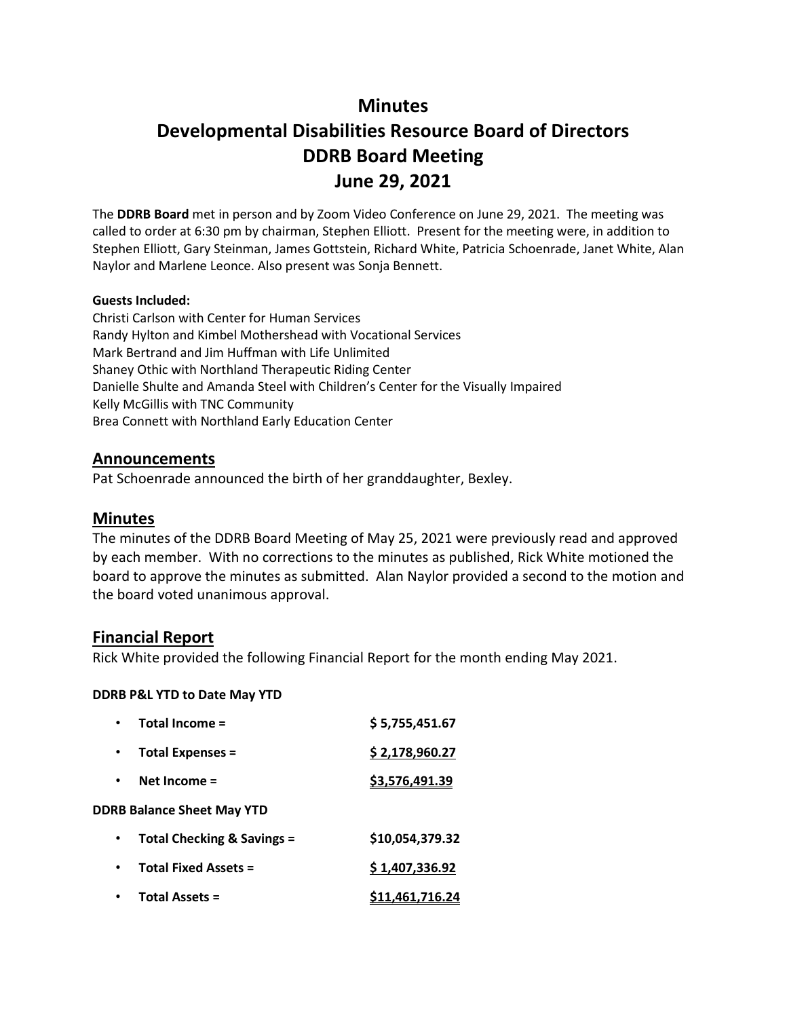# **Minutes**

# **Developmental Disabilities Resource Board of Directors DDRB Board Meeting June 29, 2021**

The **DDRB Board** met in person and by Zoom Video Conference on June 29, 2021. The meeting was called to order at 6:30 pm by chairman, Stephen Elliott. Present for the meeting were, in addition to Stephen Elliott, Gary Steinman, James Gottstein, Richard White, Patricia Schoenrade, Janet White, Alan Naylor and Marlene Leonce. Also present was Sonja Bennett.

#### **Guests Included:**

Christi Carlson with Center for Human Services Randy Hylton and Kimbel Mothershead with Vocational Services Mark Bertrand and Jim Huffman with Life Unlimited Shaney Othic with Northland Therapeutic Riding Center Danielle Shulte and Amanda Steel with Children's Center for the Visually Impaired Kelly McGillis with TNC Community Brea Connett with Northland Early Education Center

#### **Announcements**

Pat Schoenrade announced the birth of her granddaughter, Bexley.

#### **Minutes**

The minutes of the DDRB Board Meeting of May 25, 2021 were previously read and approved by each member. With no corrections to the minutes as published, Rick White motioned the board to approve the minutes as submitted. Alan Naylor provided a second to the motion and the board voted unanimous approval.

#### **Financial Report**

Rick White provided the following Financial Report for the month ending May 2021.

#### **DDRB P&L YTD to Date May YTD**

| Total Income =                    | \$5,755,451.67  |
|-----------------------------------|-----------------|
| <b>Total Expenses =</b>           | \$2,178,960.27  |
| Net Income $=$                    | \$3,576,491.39  |
| <b>DDRB Balance Sheet May YTD</b> |                 |
| Total Checking & Savings =        | \$10,054,379.32 |
| <b>Total Fixed Assets =</b>       | \$1,407,336.92  |
| <b>Total Assets =</b>             | \$11,461,716.24 |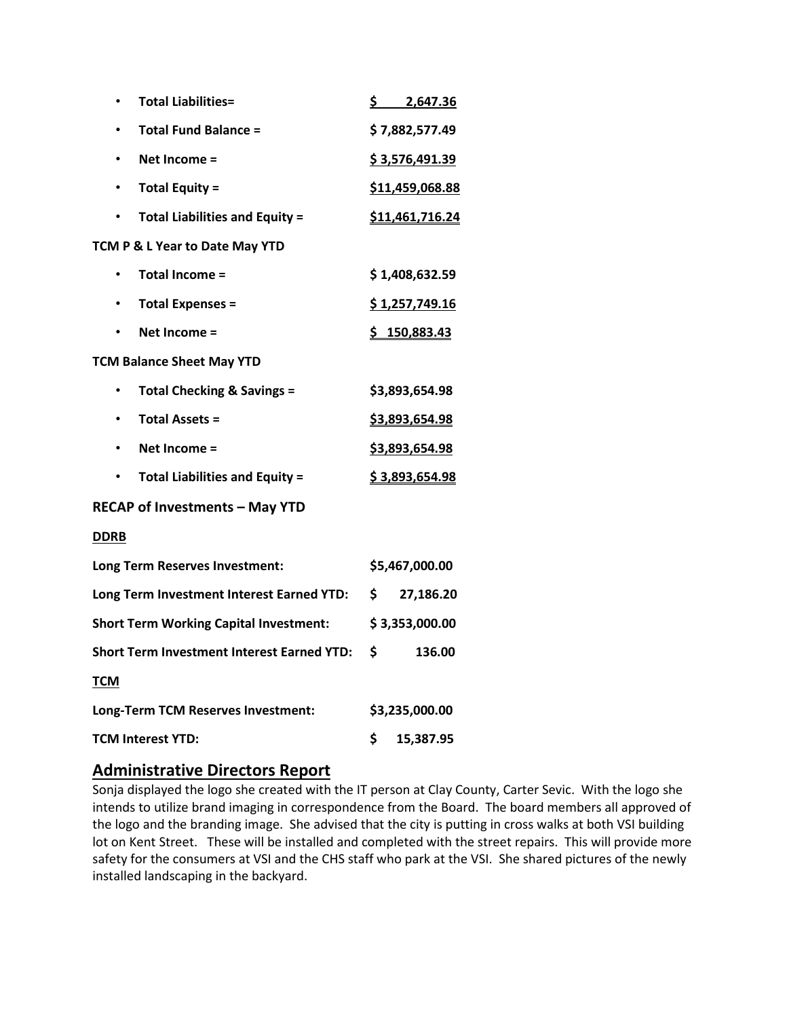| <b>Total Liabilities=</b><br>٠                     | \$2,647.36            |  |  |  |  |
|----------------------------------------------------|-----------------------|--|--|--|--|
| <b>Total Fund Balance =</b>                        | \$7,882,577.49        |  |  |  |  |
| Net Income =<br>٠                                  | \$3,576,491.39        |  |  |  |  |
| <b>Total Equity =</b><br>$\bullet$                 | \$11,459,068.88       |  |  |  |  |
| <b>Total Liabilities and Equity =</b><br>$\bullet$ | \$11,461,716.24       |  |  |  |  |
| TCM P & L Year to Date May YTD                     |                       |  |  |  |  |
| <b>Total Income =</b><br>$\bullet$                 | \$1,408,632.59        |  |  |  |  |
| <b>Total Expenses =</b><br>$\bullet$               | \$1,257,749.16        |  |  |  |  |
| Net Income =                                       | \$150,883.43          |  |  |  |  |
| <b>TCM Balance Sheet May YTD</b>                   |                       |  |  |  |  |
| <b>Total Checking &amp; Savings =</b><br>٠         | \$3,893,654.98        |  |  |  |  |
| <b>Total Assets =</b><br>$\bullet$                 | <u>\$3,893,654.98</u> |  |  |  |  |
| Net Income =<br>$\bullet$                          | \$3,893,654.98        |  |  |  |  |
| <b>Total Liabilities and Equity =</b><br>٠         | \$3,893,654.98        |  |  |  |  |
| <b>RECAP of Investments - May YTD</b>              |                       |  |  |  |  |
| <b>DDRB</b>                                        |                       |  |  |  |  |
| Long Term Reserves Investment:                     | \$5,467,000.00        |  |  |  |  |
| Long Term Investment Interest Earned YTD:          | \$<br>27,186.20       |  |  |  |  |
| <b>Short Term Working Capital Investment:</b>      | \$3,353,000.00        |  |  |  |  |
| <b>Short Term Investment Interest Earned YTD:</b>  | \$<br>136.00          |  |  |  |  |
| <b>TCM</b>                                         |                       |  |  |  |  |
| Long-Term TCM Reserves Investment:                 | \$3,235,000.00        |  |  |  |  |
| <b>TCM Interest YTD:</b>                           | \$<br>15,387.95       |  |  |  |  |

## **Administrative Directors Report**

Sonja displayed the logo she created with the IT person at Clay County, Carter Sevic. With the logo she intends to utilize brand imaging in correspondence from the Board. The board members all approved of the logo and the branding image. She advised that the city is putting in cross walks at both VSI building lot on Kent Street. These will be installed and completed with the street repairs. This will provide more safety for the consumers at VSI and the CHS staff who park at the VSI. She shared pictures of the newly installed landscaping in the backyard.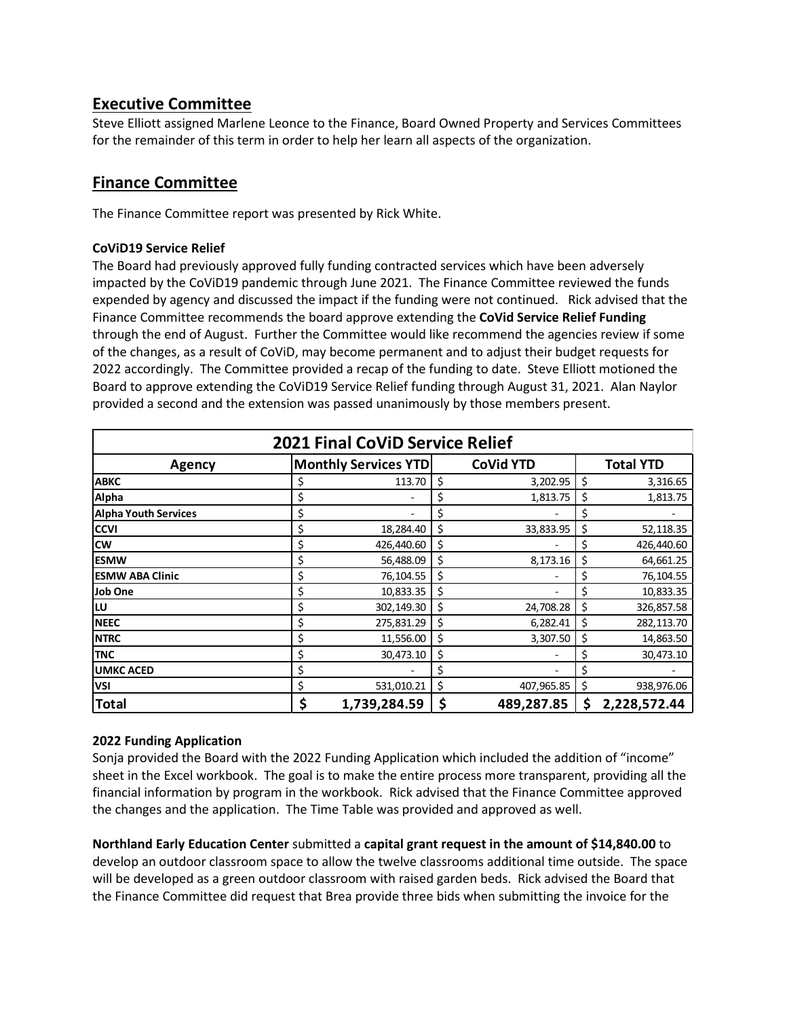# **Executive Committee**

Steve Elliott assigned Marlene Leonce to the Finance, Board Owned Property and Services Committees for the remainder of this term in order to help her learn all aspects of the organization.

# **Finance Committee**

The Finance Committee report was presented by Rick White.

#### **CoViD19 Service Relief**

The Board had previously approved fully funding contracted services which have been adversely impacted by the CoViD19 pandemic through June 2021. The Finance Committee reviewed the funds expended by agency and discussed the impact if the funding were not continued. Rick advised that the Finance Committee recommends the board approve extending the **CoVid Service Relief Funding** through the end of August. Further the Committee would like recommend the agencies review if some of the changes, as a result of CoViD, may become permanent and to adjust their budget requests for 2022 accordingly. The Committee provided a recap of the funding to date. Steve Elliott motioned the Board to approve extending the CoViD19 Service Relief funding through August 31, 2021. Alan Naylor provided a second and the extension was passed unanimously by those members present.

| <b>2021 Final CoViD Service Relief</b> |                             |              |    |                  |    |                  |  |
|----------------------------------------|-----------------------------|--------------|----|------------------|----|------------------|--|
| <b>Agency</b>                          | <b>Monthly Services YTD</b> |              |    | <b>CoVid YTD</b> |    | <b>Total YTD</b> |  |
| <b>ABKC</b>                            |                             | 113.70       | \$ | 3,202.95         | \$ | 3,316.65         |  |
| Alpha                                  | \$                          |              | \$ | 1,813.75         | \$ | 1,813.75         |  |
| <b>Alpha Youth Services</b>            | \$                          |              | \$ |                  | \$ |                  |  |
| <b>CCVI</b>                            | \$                          | 18,284.40    | \$ | 33,833.95        | \$ | 52,118.35        |  |
| <b>CW</b>                              | \$                          | 426,440.60   | \$ |                  | \$ | 426,440.60       |  |
| <b>ESMW</b>                            | \$                          | 56,488.09    | \$ | 8,173.16         | \$ | 64,661.25        |  |
| <b>ESMW ABA Clinic</b>                 | \$                          | 76,104.55    | \$ |                  | \$ | 76,104.55        |  |
| Job One                                | \$                          | 10,833.35    | \$ |                  |    | 10,833.35        |  |
| LU                                     | \$                          | 302,149.30   | \$ | 24,708.28        | \$ | 326,857.58       |  |
| <b>NEEC</b>                            | \$                          | 275,831.29   | \$ | 6,282.41         | \$ | 282,113.70       |  |
| <b>NTRC</b>                            | \$                          | 11,556.00    | \$ | 3,307.50         | \$ | 14,863.50        |  |
| <b>TNC</b>                             | \$                          | 30,473.10    | \$ |                  | Ş  | 30,473.10        |  |
| <b>UMKC ACED</b>                       | \$                          |              | \$ |                  | \$ |                  |  |
| <b>VSI</b>                             | \$                          | 531,010.21   | \$ | 407,965.85       | \$ | 938,976.06       |  |
| <b>Total</b>                           | \$                          | 1,739,284.59 | \$ | 489,287.85       | \$ | 2,228,572.44     |  |

#### **2022 Funding Application**

Sonja provided the Board with the 2022 Funding Application which included the addition of "income" sheet in the Excel workbook. The goal is to make the entire process more transparent, providing all the financial information by program in the workbook. Rick advised that the Finance Committee approved the changes and the application. The Time Table was provided and approved as well.

**Northland Early Education Center** submitted a **capital grant request in the amount of \$14,840.00** to develop an outdoor classroom space to allow the twelve classrooms additional time outside. The space will be developed as a green outdoor classroom with raised garden beds. Rick advised the Board that the Finance Committee did request that Brea provide three bids when submitting the invoice for the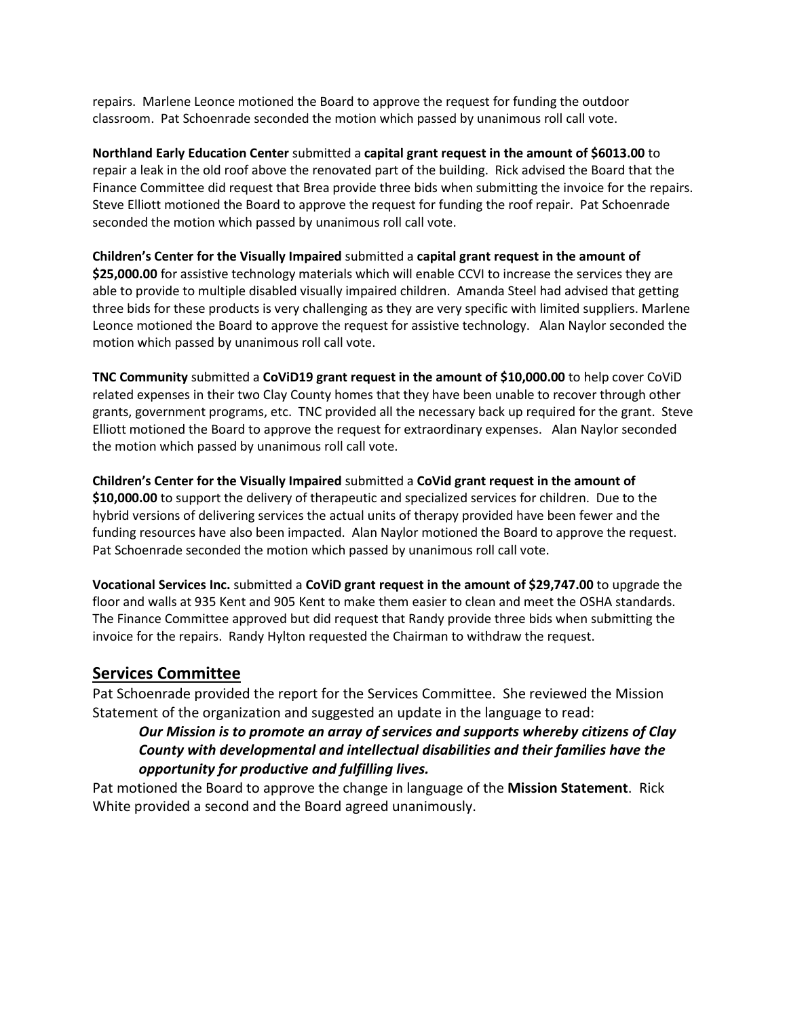repairs. Marlene Leonce motioned the Board to approve the request for funding the outdoor classroom. Pat Schoenrade seconded the motion which passed by unanimous roll call vote.

**Northland Early Education Center** submitted a **capital grant request in the amount of \$6013.00** to repair a leak in the old roof above the renovated part of the building. Rick advised the Board that the Finance Committee did request that Brea provide three bids when submitting the invoice for the repairs. Steve Elliott motioned the Board to approve the request for funding the roof repair. Pat Schoenrade seconded the motion which passed by unanimous roll call vote.

**Children's Center for the Visually Impaired** submitted a **capital grant request in the amount of \$25,000.00** for assistive technology materials which will enable CCVI to increase the services they are able to provide to multiple disabled visually impaired children. Amanda Steel had advised that getting three bids for these products is very challenging as they are very specific with limited suppliers. Marlene Leonce motioned the Board to approve the request for assistive technology. Alan Naylor seconded the motion which passed by unanimous roll call vote.

**TNC Community** submitted a **CoViD19 grant request in the amount of \$10,000.00** to help cover CoViD related expenses in their two Clay County homes that they have been unable to recover through other grants, government programs, etc. TNC provided all the necessary back up required for the grant. Steve Elliott motioned the Board to approve the request for extraordinary expenses. Alan Naylor seconded the motion which passed by unanimous roll call vote.

**Children's Center for the Visually Impaired** submitted a **CoVid grant request in the amount of \$10,000.00** to support the delivery of therapeutic and specialized services for children. Due to the hybrid versions of delivering services the actual units of therapy provided have been fewer and the funding resources have also been impacted. Alan Naylor motioned the Board to approve the request. Pat Schoenrade seconded the motion which passed by unanimous roll call vote.

**Vocational Services Inc.** submitted a **CoViD grant request in the amount of \$29,747.00** to upgrade the floor and walls at 935 Kent and 905 Kent to make them easier to clean and meet the OSHA standards. The Finance Committee approved but did request that Randy provide three bids when submitting the invoice for the repairs. Randy Hylton requested the Chairman to withdraw the request.

## **Services Committee**

Pat Schoenrade provided the report for the Services Committee. She reviewed the Mission Statement of the organization and suggested an update in the language to read:

*Our Mission is to promote an array of services and supports whereby citizens of Clay County with developmental and intellectual disabilities and their families have the opportunity for productive and fulfilling lives.* 

Pat motioned the Board to approve the change in language of the **Mission Statement**. Rick White provided a second and the Board agreed unanimously.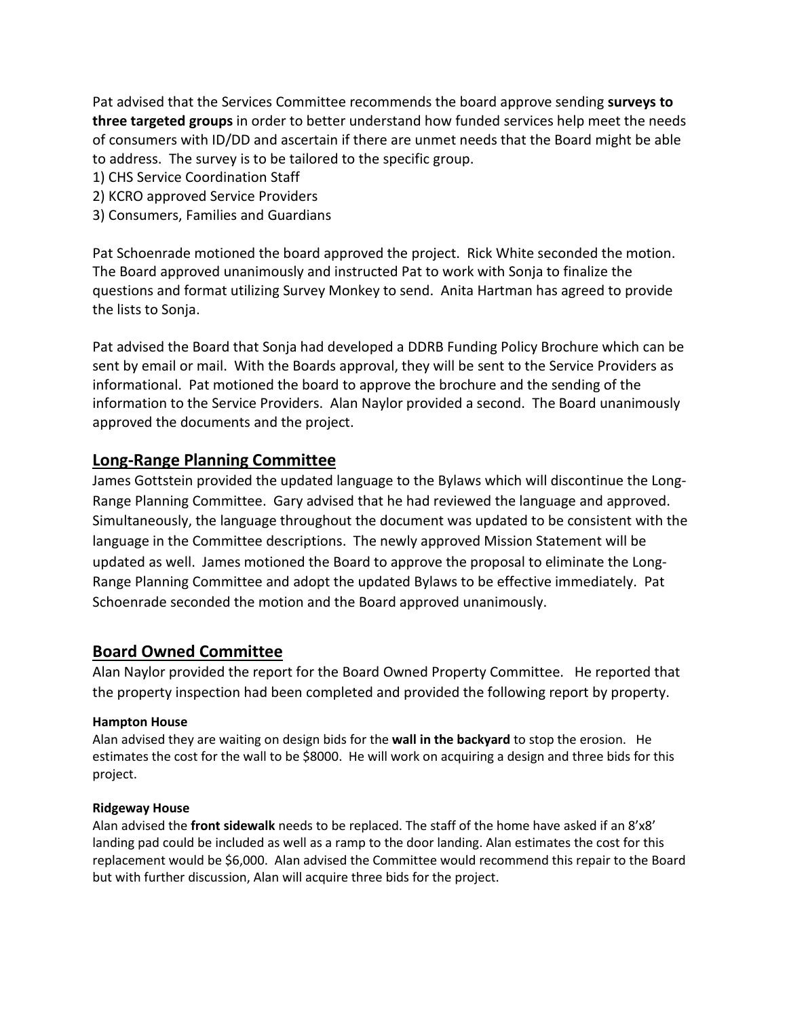Pat advised that the Services Committee recommends the board approve sending **surveys to three targeted groups** in order to better understand how funded services help meet the needs of consumers with ID/DD and ascertain if there are unmet needs that the Board might be able to address. The survey is to be tailored to the specific group.

- 1) CHS Service Coordination Staff
- 2) KCRO approved Service Providers
- 3) Consumers, Families and Guardians

Pat Schoenrade motioned the board approved the project. Rick White seconded the motion. The Board approved unanimously and instructed Pat to work with Sonja to finalize the questions and format utilizing Survey Monkey to send. Anita Hartman has agreed to provide the lists to Sonja.

Pat advised the Board that Sonja had developed a DDRB Funding Policy Brochure which can be sent by email or mail. With the Boards approval, they will be sent to the Service Providers as informational. Pat motioned the board to approve the brochure and the sending of the information to the Service Providers. Alan Naylor provided a second. The Board unanimously approved the documents and the project.

## **Long-Range Planning Committee**

James Gottstein provided the updated language to the Bylaws which will discontinue the Long-Range Planning Committee. Gary advised that he had reviewed the language and approved. Simultaneously, the language throughout the document was updated to be consistent with the language in the Committee descriptions. The newly approved Mission Statement will be updated as well. James motioned the Board to approve the proposal to eliminate the Long-Range Planning Committee and adopt the updated Bylaws to be effective immediately. Pat Schoenrade seconded the motion and the Board approved unanimously.

# **Board Owned Committee**

Alan Naylor provided the report for the Board Owned Property Committee. He reported that the property inspection had been completed and provided the following report by property.

#### **Hampton House**

Alan advised they are waiting on design bids for the **wall in the backyard** to stop the erosion. He estimates the cost for the wall to be \$8000. He will work on acquiring a design and three bids for this project.

#### **Ridgeway House**

Alan advised the **front sidewalk** needs to be replaced. The staff of the home have asked if an 8'x8' landing pad could be included as well as a ramp to the door landing. Alan estimates the cost for this replacement would be \$6,000. Alan advised the Committee would recommend this repair to the Board but with further discussion, Alan will acquire three bids for the project.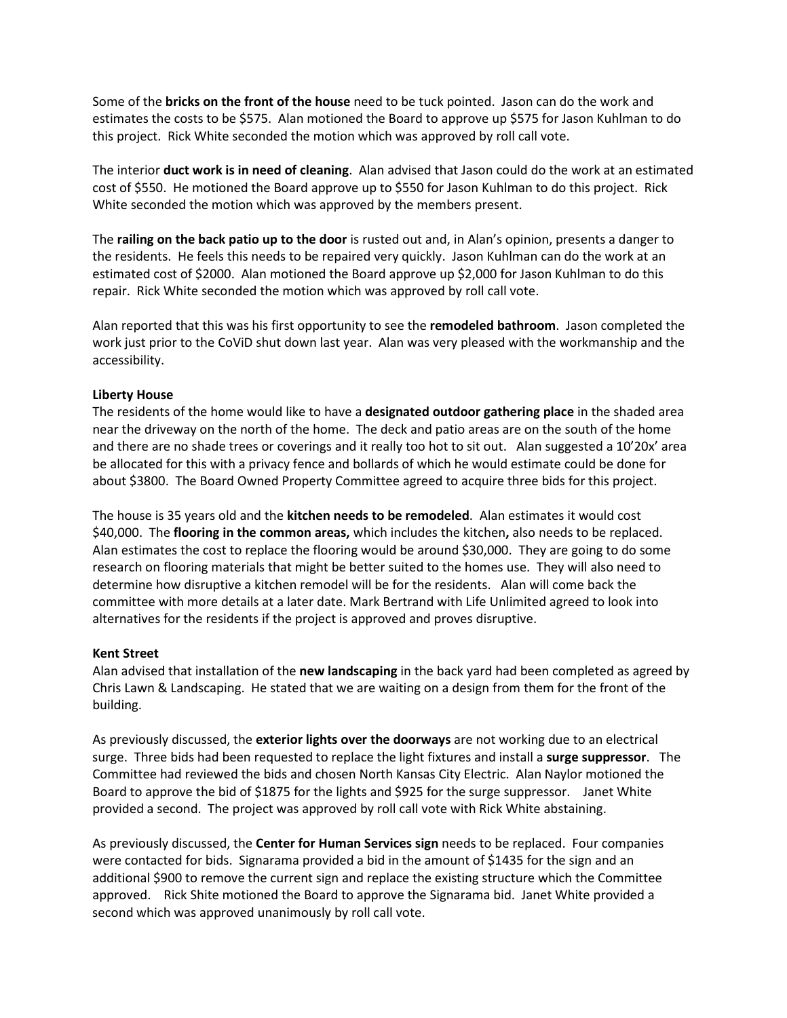Some of the **bricks on the front of the house** need to be tuck pointed. Jason can do the work and estimates the costs to be \$575. Alan motioned the Board to approve up \$575 for Jason Kuhlman to do this project. Rick White seconded the motion which was approved by roll call vote.

The interior **duct work is in need of cleaning**. Alan advised that Jason could do the work at an estimated cost of \$550. He motioned the Board approve up to \$550 for Jason Kuhlman to do this project. Rick White seconded the motion which was approved by the members present.

The **railing on the back patio up to the door** is rusted out and, in Alan's opinion, presents a danger to the residents. He feels this needs to be repaired very quickly. Jason Kuhlman can do the work at an estimated cost of \$2000. Alan motioned the Board approve up \$2,000 for Jason Kuhlman to do this repair. Rick White seconded the motion which was approved by roll call vote.

Alan reported that this was his first opportunity to see the **remodeled bathroom**. Jason completed the work just prior to the CoViD shut down last year. Alan was very pleased with the workmanship and the accessibility.

#### **Liberty House**

The residents of the home would like to have a **designated outdoor gathering place** in the shaded area near the driveway on the north of the home. The deck and patio areas are on the south of the home and there are no shade trees or coverings and it really too hot to sit out. Alan suggested a 10'20x' area be allocated for this with a privacy fence and bollards of which he would estimate could be done for about \$3800. The Board Owned Property Committee agreed to acquire three bids for this project.

The house is 35 years old and the **kitchen needs to be remodeled**. Alan estimates it would cost \$40,000. The **flooring in the common areas,** which includes the kitchen**,** also needs to be replaced. Alan estimates the cost to replace the flooring would be around \$30,000. They are going to do some research on flooring materials that might be better suited to the homes use. They will also need to determine how disruptive a kitchen remodel will be for the residents. Alan will come back the committee with more details at a later date. Mark Bertrand with Life Unlimited agreed to look into alternatives for the residents if the project is approved and proves disruptive.

#### **Kent Street**

Alan advised that installation of the **new landscaping** in the back yard had been completed as agreed by Chris Lawn & Landscaping. He stated that we are waiting on a design from them for the front of the building.

As previously discussed, the **exterior lights over the doorways** are not working due to an electrical surge. Three bids had been requested to replace the light fixtures and install a **surge suppressor**. The Committee had reviewed the bids and chosen North Kansas City Electric. Alan Naylor motioned the Board to approve the bid of \$1875 for the lights and \$925 for the surge suppressor. Janet White provided a second. The project was approved by roll call vote with Rick White abstaining.

As previously discussed, the **Center for Human Services sign** needs to be replaced. Four companies were contacted for bids. Signarama provided a bid in the amount of \$1435 for the sign and an additional \$900 to remove the current sign and replace the existing structure which the Committee approved. Rick Shite motioned the Board to approve the Signarama bid. Janet White provided a second which was approved unanimously by roll call vote.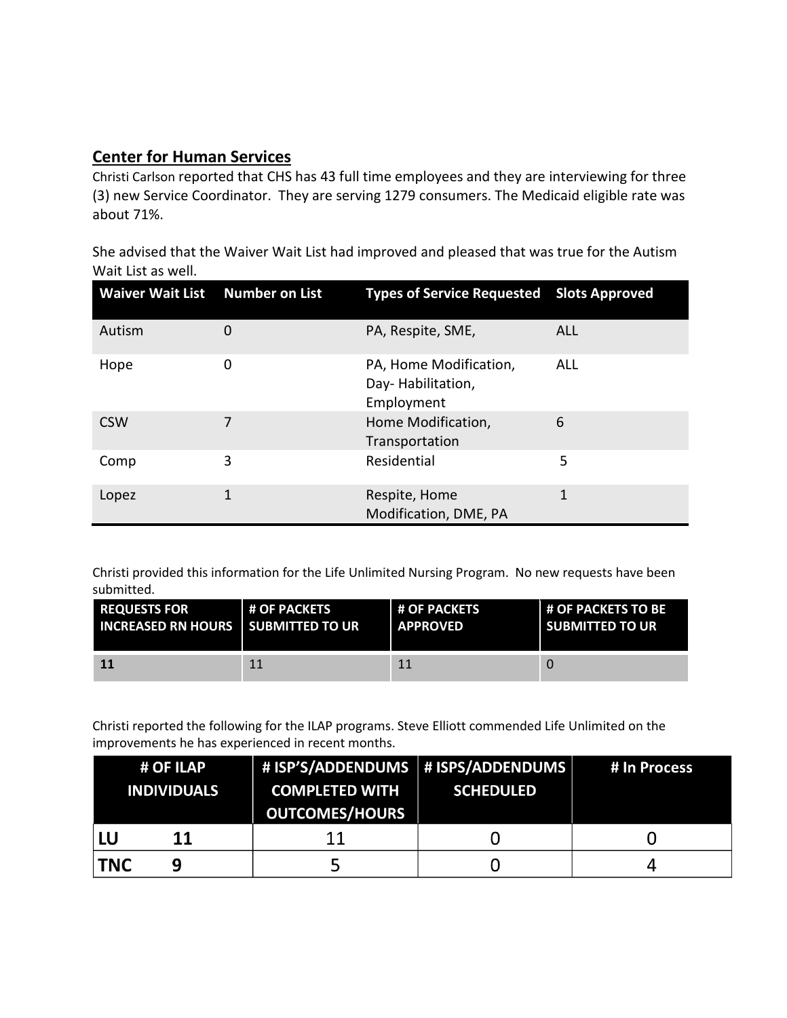# **Center for Human Services**

Christi Carlson reported that CHS has 43 full time employees and they are interviewing for three (3) new Service Coordinator. They are serving 1279 consumers. The Medicaid eligible rate was about 71%.

She advised that the Waiver Wait List had improved and pleased that was true for the Autism Wait List as well.

| Waiver Wait List Number on List |   | <b>Types of Service Requested Slots Approved</b>          |            |
|---------------------------------|---|-----------------------------------------------------------|------------|
| Autism                          | O | PA, Respite, SME,                                         | <b>ALL</b> |
| Hope                            | 0 | PA, Home Modification,<br>Day-Habilitation,<br>Employment | ALL        |
| <b>CSW</b>                      |   | Home Modification,<br>Transportation                      | 6          |
| Comp                            | 3 | Residential                                               | 5          |
| Lopez                           | 1 | Respite, Home<br>Modification, DME, PA                    | 1          |

Christi provided this information for the Life Unlimited Nursing Program. No new requests have been submitted.

| <b>REQUESTS FOR</b>                         | <b>H OF PACKETS</b> | <b>H OF PACKETS</b> | <b>H OF PACKETS TO BE</b> |
|---------------------------------------------|---------------------|---------------------|---------------------------|
| <b>INCREASED RN HOURS I SUBMITTED TO UR</b> |                     | <b>LAPPROVED</b>    | <b>SUBMITTED TO UR</b>    |
| <b>11</b>                                   | 11                  |                     |                           |

Christi reported the following for the ILAP programs. Steve Elliott commended Life Unlimited on the improvements he has experienced in recent months.

|                    | # OF ILAP | # ISP'S/ADDENDUMS   # ISPS/ADDENDUMS |                  | # In Process |
|--------------------|-----------|--------------------------------------|------------------|--------------|
| <b>INDIVIDUALS</b> |           | <b>COMPLETED WITH</b>                | <b>SCHEDULED</b> |              |
|                    |           | <b>OUTCOMES/HOURS</b>                |                  |              |
|                    | 11        | 11                                   |                  |              |
| <b>TNC</b>         | q         |                                      |                  |              |